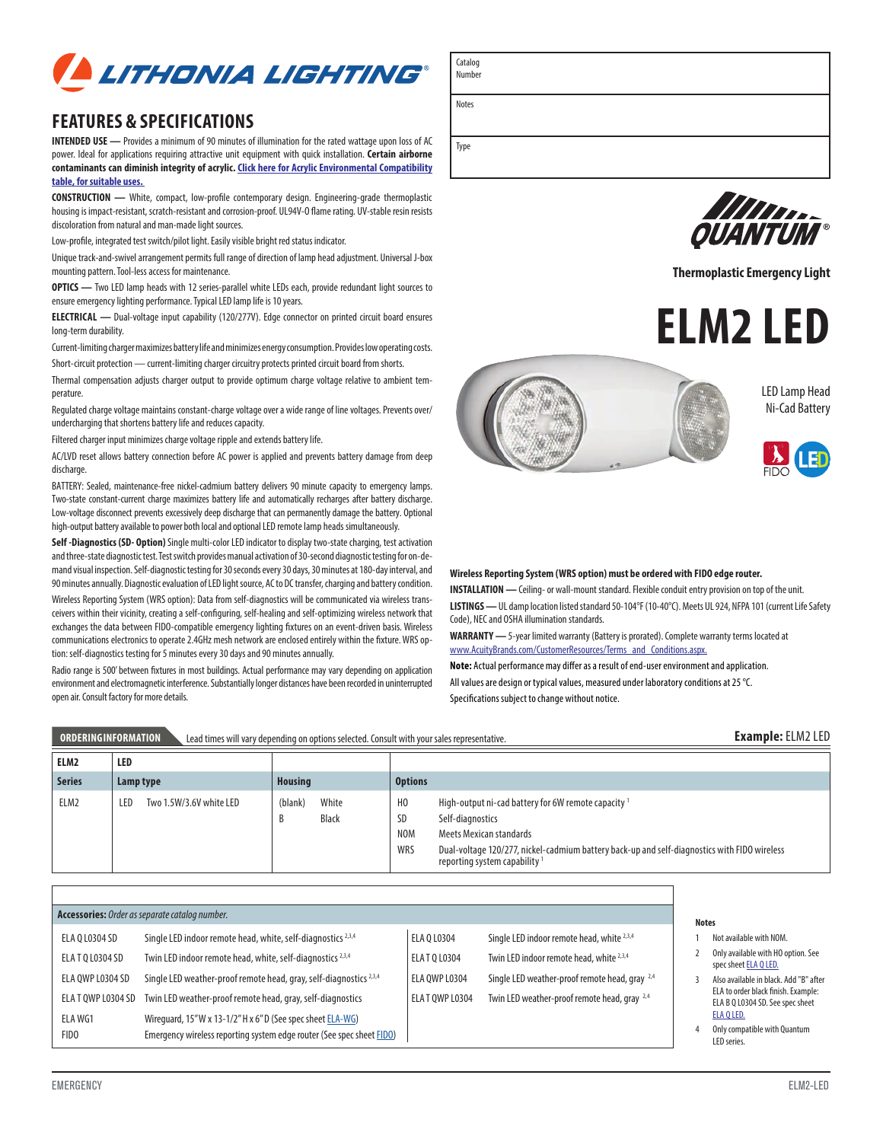

# **FEATURES & SPECIFICATIONS**

**INTENDED USE —** Provides a minimum of 90 minutes of illumination for the rated wattage upon loss of AC power. Ideal for applications requiring attractive unit equipment with quick installation. **Certain airborne [contaminants can diminish integrity of acrylic. Click here for Acrylic Environmental Compatibility](http://www.acuitybrandslighting.com/Library/LL/documents/specsheets/Acrylic-Compatibility.pdf)  table, for suitable uses.** 

**CONSTRUCTION —** White, compact, low-profile contemporary design. Engineering-grade thermoplastic housing is impact-resistant, scratch-resistant and corrosion-proof. UL94V-O flame rating. UV-stable resin resists discoloration from natural and man-made light sources.

Low-profile, integrated test switch/pilot light. Easily visible bright red status indicator.

Unique track-and-swivel arrangement permits full range of direction of lamp head adjustment. Universal J-box mounting pattern. Tool-less access for maintenance.

**OPTICS —** Two LED lamp heads with 12 series-parallel white LEDs each, provide redundant light sources to ensure emergency lighting performance. Typical LED lamp life is 10 years.

**ELECTRICAL —** Dual-voltage input capability (120/277V). Edge connector on printed circuit board ensures long-term durability.

Current-limiting charger maximizes battery life and minimizes energy consumption. Provides low operating costs.

Short-circuit protection — current-limiting charger circuitry protects printed circuit board from shorts.

Thermal compensation adjusts charger output to provide optimum charge voltage relative to ambient temperature.

Regulated charge voltage maintains constant-charge voltage over a wide range of line voltages. Prevents over/ undercharging that shortens battery life and reduces capacity.

Filtered charger input minimizes charge voltage ripple and extends battery life.

AC/LVD reset allows battery connection before AC power is applied and prevents battery damage from deep discharge.

BATTERY: Sealed, maintenance-free nickel-cadmium battery delivers 90 minute capacity to emergency lamps. Two-state constant-current charge maximizes battery life and automatically recharges after battery discharge. Low-voltage disconnect prevents excessively deep discharge that can permanently damage the battery. Optional high-output battery available to power both local and optional LED remote lamp heads simultaneously.

**Self -Diagnostics (SD- Option)** Single multi-color LED indicator to display two-state charging, test activation and three-state diagnostic test. Test switch provides manual activation of 30-second diagnostic testing for on-demand visual inspection. Self-diagnostic testing for 30 seconds every 30 days, 30 minutes at 180-day interval, and 90 minutes annually. Diagnostic evaluation of LED light source, AC to DC transfer, charging and battery condition.

Wireless Reporting System (WRS option): Data from self-diagnostics will be communicated via wireless transceivers within their vicinity, creating a self-configuring, self-healing and self-optimizing wireless network that exchanges the data between FIDO-compatible emergency lighting fixtures on an event-driven basis. Wireless communications electronics to operate 2.4GHz mesh network are enclosed entirely within the fixture. WRS option: self-diagnostics testing for 5 minutes every 30 days and 90 minutes annually.

Radio range is 500' between fixtures in most buildings. Actual performance may vary depending on application environment and electromagnetic interference. Substantially longer distances have been recorded in uninterrupted open air. Consult factory for more details.

Number

Catalog

Type

Notes



**Thermoplastic Emergency Light**









#### **Wireless Reporting System (WRS option) must be ordered with FIDO edge router.**

**INSTALLATION —** Ceiling- or wall-mount standard. Flexible conduit entry provision on top of the unit. **LISTINGS —** UL damp location listed standard 50-104°F (10-40°C). Meets UL 924, NFPA 101 (current Life Safety Code), NEC and OSHA illumination standards.

**WARRANTY —** 5-year limited warranty (Battery is prorated). Complete warranty terms located at www.AcuityBrands.com/CustomerResources/Terms\_and\_Conditions.aspx.

**Note:** Actual performance may differ as a result of end-user environment and application. All values are design or typical values, measured under laboratory conditions at 25 °C. Specifications subject to change without notice.

| ORDERINGINFORMATION |           | Lead times will vary depending on options selected. Consult with your sales representative. |                |                       |                                                  | <b>Example: ELM2 LED</b>                                                                                                                                                                                                                                  |
|---------------------|-----------|---------------------------------------------------------------------------------------------|----------------|-----------------------|--------------------------------------------------|-----------------------------------------------------------------------------------------------------------------------------------------------------------------------------------------------------------------------------------------------------------|
| ELM2                | LED       |                                                                                             |                |                       |                                                  |                                                                                                                                                                                                                                                           |
| <b>Series</b>       | Lamp type |                                                                                             | <b>Housing</b> |                       | <b>Options</b>                                   |                                                                                                                                                                                                                                                           |
| ELM2                | LED       | Two 1.5W/3.6V white LED                                                                     | (blank)<br>B   | White<br><b>Black</b> | H <sub>0</sub><br><b>SD</b><br><b>NOM</b><br>WRS | High-output ni-cad battery for 6W remote capacity <sup>1</sup><br>Self-diagnostics<br>Meets Mexican standards<br>Dual-voltage 120/277, nickel-cadmium battery back-up and self-diagnostics with FIDO wireless<br>reporting system capability <sup>1</sup> |

|                   | Accessories: Order as separate catalog number.                                |                    |                                                           | <b>Notes</b> |
|-------------------|-------------------------------------------------------------------------------|--------------------|-----------------------------------------------------------|--------------|
| ELA Q L0304 SD    | Single LED indoor remote head, white, self-diagnostics <sup>2,3,4</sup>       | ELA 0 L0304        | Single LED indoor remote head, white <sup>2,3,4</sup>     | Not          |
| ELA T O L0304 SD  | Twin LED indoor remote head, white, self-diagnostics <sup>2,3,4</sup>         | <b>ELATO L0304</b> | Twin LED indoor remote head, white 2,3,4                  | Only<br>spec |
| ELA OWP L0304 SD  | Single LED weather-proof remote head, gray, self-diagnostics <sup>2,3,4</sup> | ELA OWP L0304      | Single LED weather-proof remote head, gray <sup>2,4</sup> | Also         |
| ELA TOWP L0304 SD | Twin LED weather-proof remote head, gray, self-diagnostics                    | ELA TOWP L0304     | Twin LED weather-proof remote head, gray <sup>2,4</sup>   | ELA<br>ELA   |
| ELA WG1           | Wirequard, 15"W x 13-1/2"H x 6"D (See spec sheet ELA-WG)                      |                    |                                                           | <b>ELA</b>   |
| <b>FIDO</b>       | Emergency wireless reporting system edge router (See spec sheet FIDO)         |                    |                                                           | Only<br>LED  |

- available with NOM.
- available with HO option. See spec shee[t ELA Q LED.](http://www.acuitybrandslighting.com/library/ll/documents/specsheets/ela-q-led.pdf)
- available in black. Add "B" after to order black finish. Example: B Q L0304 SD. See spec sheet O LED.
- 4 Only compatible with Quantum LED series.